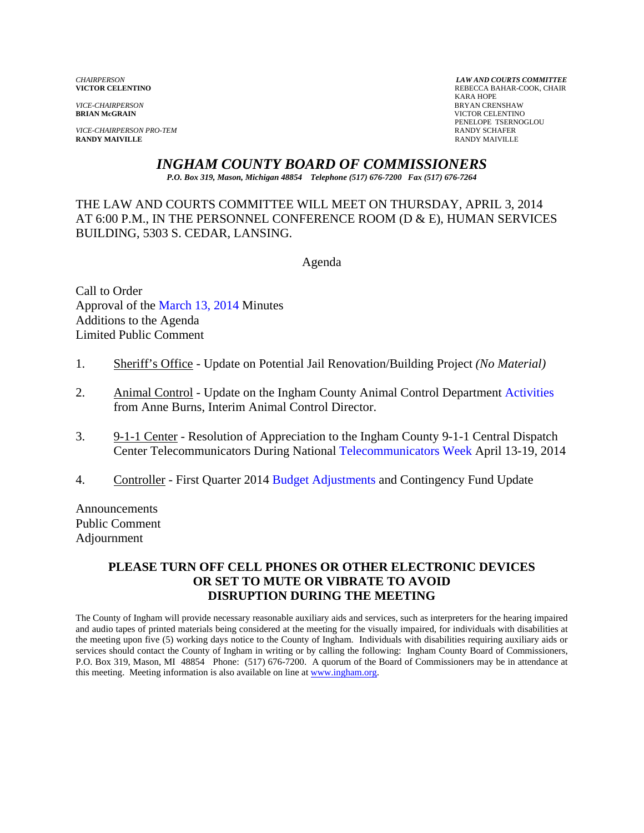*VICE-CHAIRPERSON* BRYAN CRENSHAW

*VICE-CHAIRPERSON PRO-TEM* **RANDY SCHAFER RANDY SCHAFER RANDY SCHAFER RANDY SCHAFER RANDY MAIVILLE RANDY MAIVILLE** RANDY MAIVILLE

*CHAIRPERSON LAW AND COURTS COMMITTEE* REBECCA BAHAR-COOK, CHAIR<br>KARA HOPE KARA HOPE **VICTOR CELENTINO** PENELOPE TSERNOGLOU

# *INGHAM COUNTY BOARD OF COMMISSIONERS*

*P.O. Box 319, Mason, Michigan 48854 Telephone (517) 676-7200 Fax (517) 676-7264*

THE LAW AND COURTS COMMITTEE WILL MEET ON THURSDAY, APRIL 3, 2014 AT 6:00 P.M., IN THE PERSONNEL CONFERENCE ROOM (D & E), HUMAN SERVICES BUILDING, 5303 S. CEDAR, LANSING.

Agenda

Call to Order Approval o[f the March 13, 2014 Minutes](#page-1-0)  Additions to the Agenda Limited Public Comment

- 1. Sheriff's Office Update on Potential Jail Renovation/Building Project *(No Material)*
- 2. Animal Control Update on the Ingham County Animal Control Departm[ent Activities](#page-5-0) from Anne Burns, Interim Animal Control Director.
- 3. 9-1-1 Center Resolution of Appreciation to the Ingham County 9-1-1 Central Dispatch Center Telecommunicators During Natio[nal Telecommunicators Week April 13](#page-8-0)-19, 2014
- 4. Controller First Quarter 2[014 Budget Adjustments an](#page-10-0)d Contingency Fund Update

Announcements Public Comment Adjournment

## **PLEASE TURN OFF CELL PHONES OR OTHER ELECTRONIC DEVICES OR SET TO MUTE OR VIBRATE TO AVOID DISRUPTION DURING THE MEETING**

The County of Ingham will provide necessary reasonable auxiliary aids and services, such as interpreters for the hearing impaired and audio tapes of printed materials being considered at the meeting for the visually impaired, for individuals with disabilities at the meeting upon five (5) working days notice to the County of Ingham. Individuals with disabilities requiring auxiliary aids or services should contact the County of Ingham in writing or by calling the following: Ingham County Board of Commissioners, P.O. Box 319, Mason, MI 48854 Phone: (517) 676-7200. A quorum of the Board of Commissioners may be in attendance at this meeting. Meeting information is also available on line at www.ingham.org.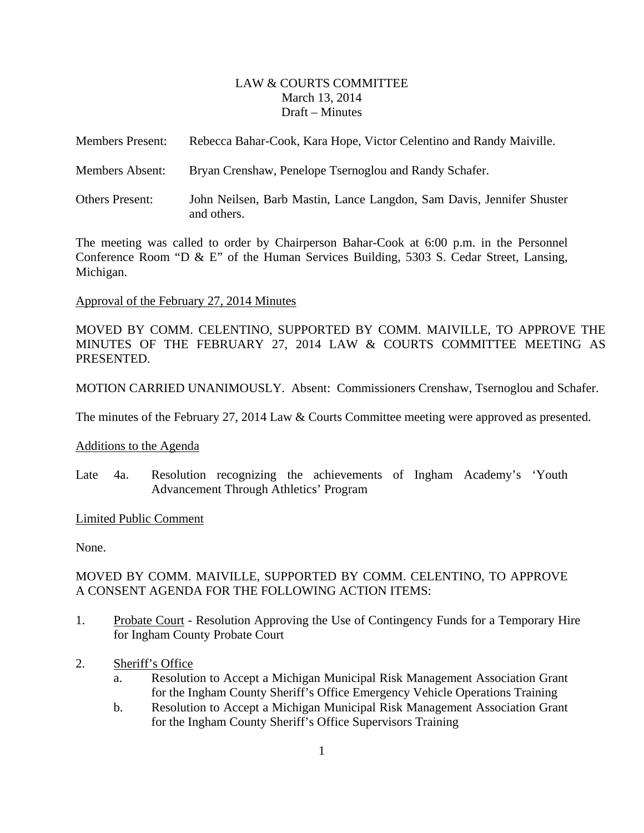#### LAW & COURTS COMMITTEE March 13, 2014 Draft – Minutes

<span id="page-1-0"></span>

| <b>Members Present:</b> | Rebecca Bahar-Cook, Kara Hope, Victor Celentino and Randy Maiville.                  |
|-------------------------|--------------------------------------------------------------------------------------|
| Members Absent:         | Bryan Crenshaw, Penelope Tsernoglou and Randy Schafer.                               |
| <b>Others Present:</b>  | John Neilsen, Barb Mastin, Lance Langdon, Sam Davis, Jennifer Shuster<br>and others. |

The meeting was called to order by Chairperson Bahar-Cook at 6:00 p.m. in the Personnel Conference Room "D & E" of the Human Services Building, 5303 S. Cedar Street, Lansing, Michigan.

#### Approval of the February 27, 2014 Minutes

MOVED BY COMM. CELENTINO, SUPPORTED BY COMM. MAIVILLE, TO APPROVE THE MINUTES OF THE FEBRUARY 27, 2014 LAW & COURTS COMMITTEE MEETING AS PRESENTED.

MOTION CARRIED UNANIMOUSLY. Absent: Commissioners Crenshaw, Tsernoglou and Schafer.

The minutes of the February 27, 2014 Law & Courts Committee meeting were approved as presented.

#### Additions to the Agenda

Late 4a. Resolution recognizing the achievements of Ingham Academy's 'Youth Advancement Through Athletics' Program

#### Limited Public Comment

None.

## MOVED BY COMM. MAIVILLE, SUPPORTED BY COMM. CELENTINO, TO APPROVE A CONSENT AGENDA FOR THE FOLLOWING ACTION ITEMS:

- 1. Probate Court Resolution Approving the Use of Contingency Funds for a Temporary Hire for Ingham County Probate Court
- 2. Sheriff's Office
	- a. Resolution to Accept a Michigan Municipal Risk Management Association Grant for the Ingham County Sheriff's Office Emergency Vehicle Operations Training
	- b. Resolution to Accept a Michigan Municipal Risk Management Association Grant for the Ingham County Sheriff's Office Supervisors Training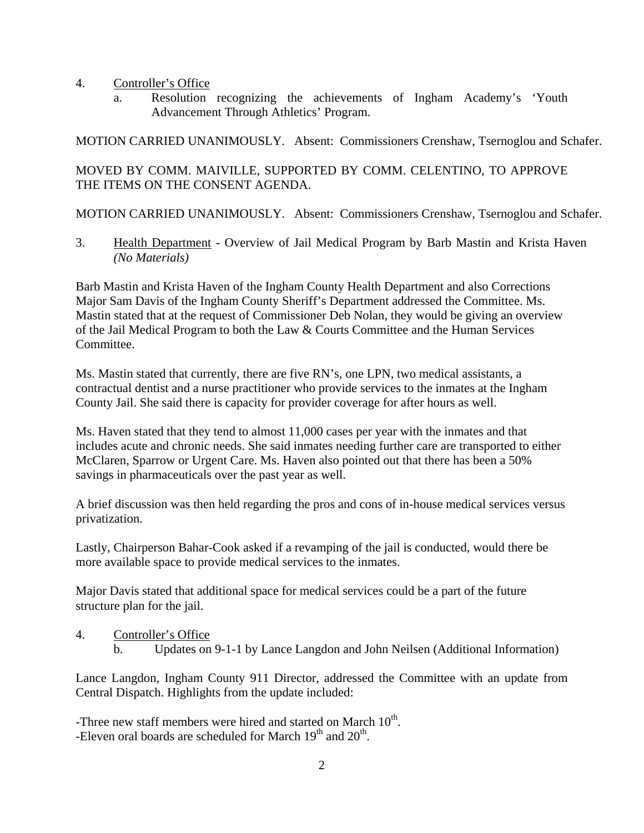- 4. Controller's Office
	- a. Resolution recognizing the achievements of Ingham Academy's 'Youth Advancement Through Athletics' Program.

MOTION CARRIED UNANIMOUSLY. Absent: Commissioners Crenshaw, Tsernoglou and Schafer.

# MOVED BY COMM. MAIVILLE, SUPPORTED BY COMM. CELENTINO, TO APPROVE THE ITEMS ON THE CONSENT AGENDA.

MOTION CARRIED UNANIMOUSLY. Absent: Commissioners Crenshaw, Tsernoglou and Schafer.

3. Health Department - Overview of Jail Medical Program by Barb Mastin and Krista Haven *(No Materials)* 

Barb Mastin and Krista Haven of the Ingham County Health Department and also Corrections Major Sam Davis of the Ingham County Sheriff's Department addressed the Committee. Ms. Mastin stated that at the request of Commissioner Deb Nolan, they would be giving an overview of the Jail Medical Program to both the Law & Courts Committee and the Human Services Committee.

Ms. Mastin stated that currently, there are five RN's, one LPN, two medical assistants, a contractual dentist and a nurse practitioner who provide services to the inmates at the Ingham County Jail. She said there is capacity for provider coverage for after hours as well.

Ms. Haven stated that they tend to almost 11,000 cases per year with the inmates and that includes acute and chronic needs. She said inmates needing further care are transported to either McClaren, Sparrow or Urgent Care. Ms. Haven also pointed out that there has been a 50% savings in pharmaceuticals over the past year as well.

A brief discussion was then held regarding the pros and cons of in-house medical services versus privatization.

Lastly, Chairperson Bahar-Cook asked if a revamping of the jail is conducted, would there be more available space to provide medical services to the inmates.

Major Davis stated that additional space for medical services could be a part of the future structure plan for the jail.

4. Controller's Office b. Updates on 9-1-1 by Lance Langdon and John Neilsen (Additional Information)

Lance Langdon, Ingham County 911 Director, addressed the Committee with an update from Central Dispatch. Highlights from the update included:

-Three new staff members were hired and started on March  $10<sup>th</sup>$ . -Eleven oral boards are scheduled for March  $19<sup>th</sup>$  and  $20<sup>th</sup>$ .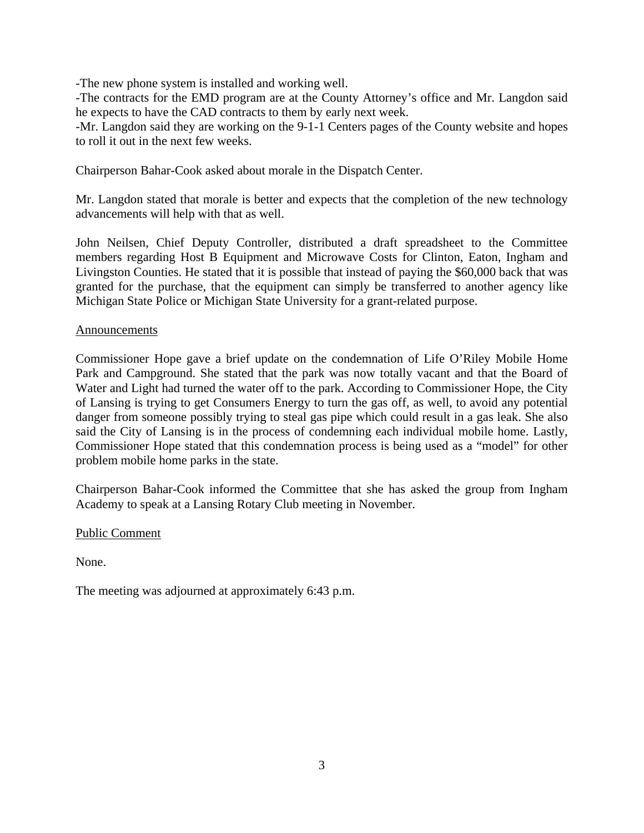-The new phone system is installed and working well.

-The contracts for the EMD program are at the County Attorney's office and Mr. Langdon said he expects to have the CAD contracts to them by early next week.

-Mr. Langdon said they are working on the 9-1-1 Centers pages of the County website and hopes to roll it out in the next few weeks.

Chairperson Bahar-Cook asked about morale in the Dispatch Center.

Mr. Langdon stated that morale is better and expects that the completion of the new technology advancements will help with that as well.

John Neilsen, Chief Deputy Controller, distributed a draft spreadsheet to the Committee members regarding Host B Equipment and Microwave Costs for Clinton, Eaton, Ingham and Livingston Counties. He stated that it is possible that instead of paying the \$60,000 back that was granted for the purchase, that the equipment can simply be transferred to another agency like Michigan State Police or Michigan State University for a grant-related purpose.

#### Announcements

Commissioner Hope gave a brief update on the condemnation of Life O'Riley Mobile Home Park and Campground. She stated that the park was now totally vacant and that the Board of Water and Light had turned the water off to the park. According to Commissioner Hope, the City of Lansing is trying to get Consumers Energy to turn the gas off, as well, to avoid any potential danger from someone possibly trying to steal gas pipe which could result in a gas leak. She also said the City of Lansing is in the process of condemning each individual mobile home. Lastly, Commissioner Hope stated that this condemnation process is being used as a "model" for other problem mobile home parks in the state.

Chairperson Bahar-Cook informed the Committee that she has asked the group from Ingham Academy to speak at a Lansing Rotary Club meeting in November.

Public Comment

None.

The meeting was adjourned at approximately 6:43 p.m.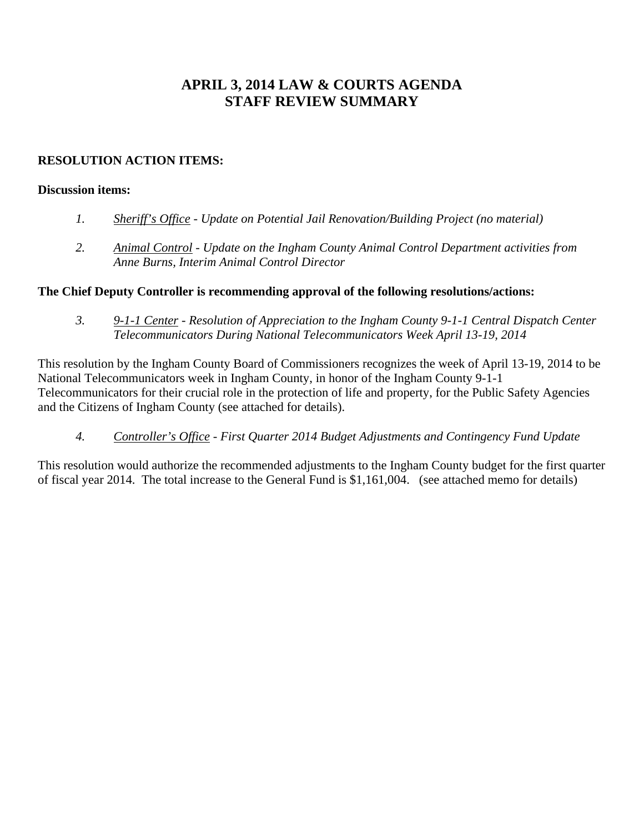# **APRIL 3, 2014 LAW & COURTS AGENDA STAFF REVIEW SUMMARY**

## **RESOLUTION ACTION ITEMS:**

#### **Discussion items:**

- *1. Sheriff's Office Update on Potential Jail Renovation/Building Project (no material)*
- *2. Animal Control Update on the Ingham County Animal Control Department activities from Anne Burns, Interim Animal Control Director*

#### **The Chief Deputy Controller is recommending approval of the following resolutions/actions:**

 *3. 9-1-1 Center - Resolution of Appreciation to the Ingham County 9-1-1 Central Dispatch Center Telecommunicators During National Telecommunicators Week April 13-19, 2014* 

This resolution by the Ingham County Board of Commissioners recognizes the week of April 13-19, 2014 to be National Telecommunicators week in Ingham County, in honor of the Ingham County 9-1-1 Telecommunicators for their crucial role in the protection of life and property, for the Public Safety Agencies and the Citizens of Ingham County (see attached for details).

 *4. Controller's Office - First Quarter 2014 Budget Adjustments and Contingency Fund Update*

This resolution would authorize the recommended adjustments to the Ingham County budget for the first quarter of fiscal year 2014. The total increase to the General Fund is \$1,161,004. (see attached memo for details)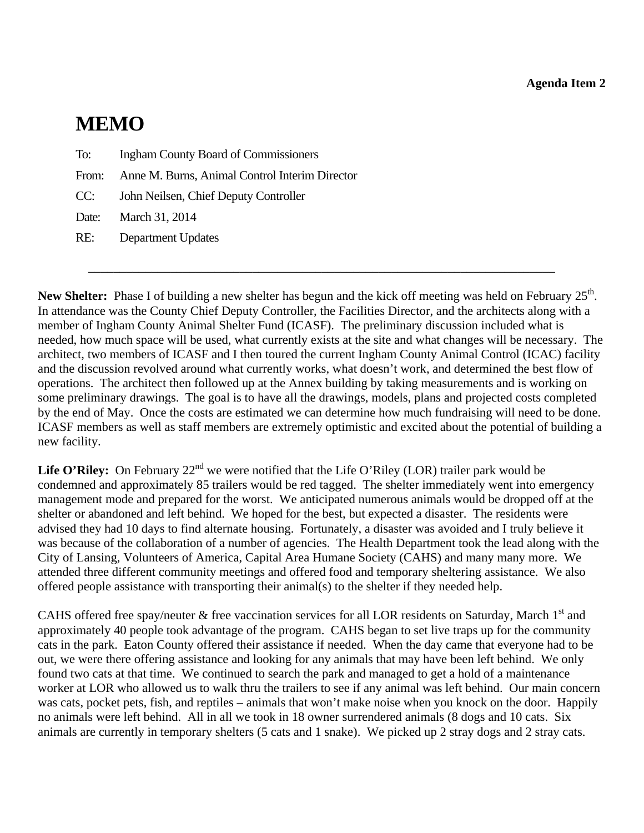# <span id="page-5-0"></span>**MEMO**

- To: Ingham County Board of Commissioners
- From: Anne M. Burns, Animal Control Interim Director
- CC: John Neilsen, Chief Deputy Controller
- Date: March 31, 2014
- RE: Department Updates

**New Shelter:** Phase I of building a new shelter has begun and the kick off meeting was held on February 25<sup>th</sup>. In attendance was the County Chief Deputy Controller, the Facilities Director, and the architects along with a member of Ingham County Animal Shelter Fund (ICASF). The preliminary discussion included what is needed, how much space will be used, what currently exists at the site and what changes will be necessary. The architect, two members of ICASF and I then toured the current Ingham County Animal Control (ICAC) facility and the discussion revolved around what currently works, what doesn't work, and determined the best flow of operations. The architect then followed up at the Annex building by taking measurements and is working on some preliminary drawings. The goal is to have all the drawings, models, plans and projected costs completed by the end of May. Once the costs are estimated we can determine how much fundraising will need to be done. ICASF members as well as staff members are extremely optimistic and excited about the potential of building a new facility.

\_\_\_\_\_\_\_\_\_\_\_\_\_\_\_\_\_\_\_\_\_\_\_\_\_\_\_\_\_\_\_\_\_\_\_\_\_\_\_\_\_\_\_\_\_\_\_\_\_\_\_\_\_\_\_\_\_\_\_\_\_\_\_\_\_\_\_\_\_\_\_\_\_\_

Life O'Riley: On February 22<sup>nd</sup> we were notified that the Life O'Riley (LOR) trailer park would be condemned and approximately 85 trailers would be red tagged. The shelter immediately went into emergency management mode and prepared for the worst. We anticipated numerous animals would be dropped off at the shelter or abandoned and left behind. We hoped for the best, but expected a disaster. The residents were advised they had 10 days to find alternate housing. Fortunately, a disaster was avoided and I truly believe it was because of the collaboration of a number of agencies. The Health Department took the lead along with the City of Lansing, Volunteers of America, Capital Area Humane Society (CAHS) and many many more. We attended three different community meetings and offered food and temporary sheltering assistance. We also offered people assistance with transporting their animal(s) to the shelter if they needed help.

CAHS offered free spay/neuter  $&$  free vaccination services for all LOR residents on Saturday, March  $1<sup>st</sup>$  and approximately 40 people took advantage of the program. CAHS began to set live traps up for the community cats in the park. Eaton County offered their assistance if needed. When the day came that everyone had to be out, we were there offering assistance and looking for any animals that may have been left behind. We only found two cats at that time. We continued to search the park and managed to get a hold of a maintenance worker at LOR who allowed us to walk thru the trailers to see if any animal was left behind. Our main concern was cats, pocket pets, fish, and reptiles – animals that won't make noise when you knock on the door. Happily no animals were left behind. All in all we took in 18 owner surrendered animals (8 dogs and 10 cats. Six animals are currently in temporary shelters (5 cats and 1 snake). We picked up 2 stray dogs and 2 stray cats.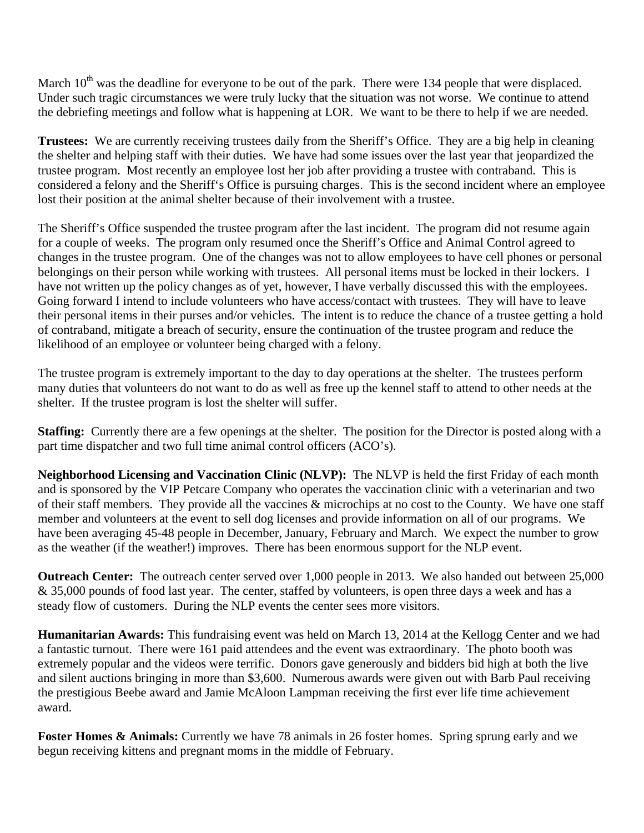March 10<sup>th</sup> was the deadline for everyone to be out of the park. There were 134 people that were displaced. Under such tragic circumstances we were truly lucky that the situation was not worse. We continue to attend the debriefing meetings and follow what is happening at LOR. We want to be there to help if we are needed.

**Trustees:** We are currently receiving trustees daily from the Sheriff's Office. They are a big help in cleaning the shelter and helping staff with their duties. We have had some issues over the last year that jeopardized the trustee program. Most recently an employee lost her job after providing a trustee with contraband. This is considered a felony and the Sheriff's Office is pursuing charges. This is the second incident where an employee lost their position at the animal shelter because of their involvement with a trustee.

The Sheriff's Office suspended the trustee program after the last incident. The program did not resume again for a couple of weeks. The program only resumed once the Sheriff's Office and Animal Control agreed to changes in the trustee program. One of the changes was not to allow employees to have cell phones or personal belongings on their person while working with trustees. All personal items must be locked in their lockers. I have not written up the policy changes as of yet, however, I have verbally discussed this with the employees. Going forward I intend to include volunteers who have access/contact with trustees. They will have to leave their personal items in their purses and/or vehicles. The intent is to reduce the chance of a trustee getting a hold of contraband, mitigate a breach of security, ensure the continuation of the trustee program and reduce the likelihood of an employee or volunteer being charged with a felony.

The trustee program is extremely important to the day to day operations at the shelter. The trustees perform many duties that volunteers do not want to do as well as free up the kennel staff to attend to other needs at the shelter. If the trustee program is lost the shelter will suffer.

**Staffing:** Currently there are a few openings at the shelter. The position for the Director is posted along with a part time dispatcher and two full time animal control officers (ACO's).

**Neighborhood Licensing and Vaccination Clinic (NLVP):** The NLVP is held the first Friday of each month and is sponsored by the VIP Petcare Company who operates the vaccination clinic with a veterinarian and two of their staff members. They provide all the vaccines & microchips at no cost to the County. We have one staff member and volunteers at the event to sell dog licenses and provide information on all of our programs. We have been averaging 45-48 people in December, January, February and March. We expect the number to grow as the weather (if the weather!) improves. There has been enormous support for the NLP event.

**Outreach Center:** The outreach center served over 1,000 people in 2013. We also handed out between 25,000 & 35,000 pounds of food last year. The center, staffed by volunteers, is open three days a week and has a steady flow of customers. During the NLP events the center sees more visitors.

**Humanitarian Awards:** This fundraising event was held on March 13, 2014 at the Kellogg Center and we had a fantastic turnout. There were 161 paid attendees and the event was extraordinary. The photo booth was extremely popular and the videos were terrific. Donors gave generously and bidders bid high at both the live and silent auctions bringing in more than \$3,600. Numerous awards were given out with Barb Paul receiving the prestigious Beebe award and Jamie McAloon Lampman receiving the first ever life time achievement award.

**Foster Homes & Animals:** Currently we have 78 animals in 26 foster homes. Spring sprung early and we begun receiving kittens and pregnant moms in the middle of February.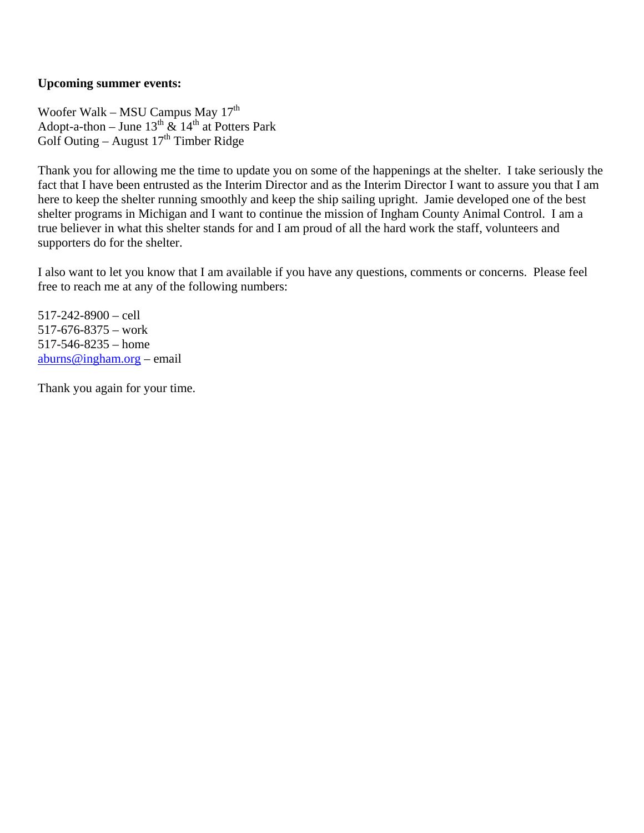## **Upcoming summer events:**

Woofer Walk – MSU Campus May 17<sup>th</sup> Adopt-a-thon – June  $13^{th}$  &  $14^{th}$  at Potters Park Golf Outing – August  $17<sup>th</sup>$  Timber Ridge

Thank you for allowing me the time to update you on some of the happenings at the shelter. I take seriously the fact that I have been entrusted as the Interim Director and as the Interim Director I want to assure you that I am here to keep the shelter running smoothly and keep the ship sailing upright. Jamie developed one of the best shelter programs in Michigan and I want to continue the mission of Ingham County Animal Control. I am a true believer in what this shelter stands for and I am proud of all the hard work the staff, volunteers and supporters do for the shelter.

I also want to let you know that I am available if you have any questions, comments or concerns. Please feel free to reach me at any of the following numbers:

517-242-8900 – cell 517-676-8375 – work 517-546-8235 – home aburns@ingham.org – email

Thank you again for your time.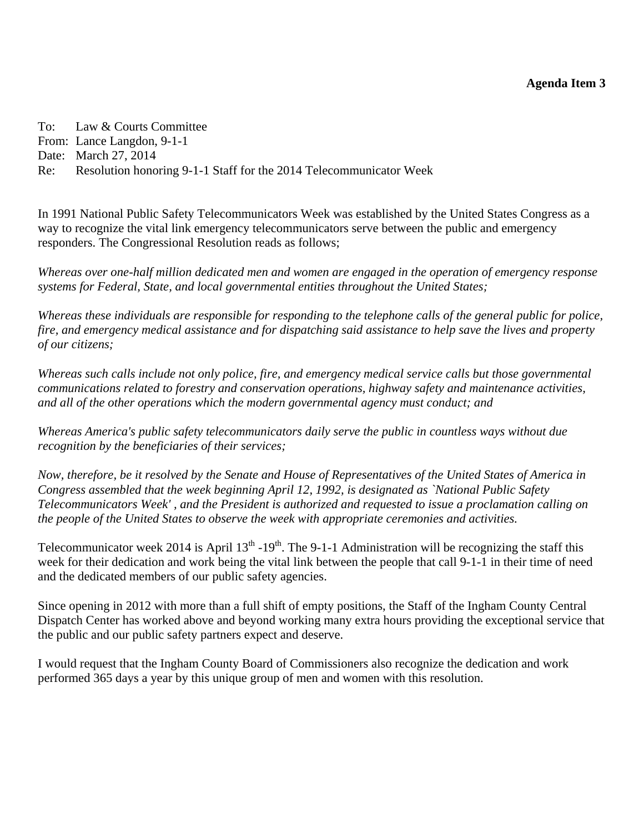<span id="page-8-0"></span>To: Law & Courts Committee From: Lance Langdon, 9-1-1 Date: March 27, 2014 Re: Resolution honoring 9-1-1 Staff for the 2014 Telecommunicator Week

In 1991 National Public Safety Telecommunicators Week was established by the United States Congress as a way to recognize the vital link emergency telecommunicators serve between the public and emergency responders. The Congressional Resolution reads as follows;

*Whereas over one-half million dedicated men and women are engaged in the operation of emergency response systems for Federal, State, and local governmental entities throughout the United States;* 

*Whereas these individuals are responsible for responding to the telephone calls of the general public for police, fire, and emergency medical assistance and for dispatching said assistance to help save the lives and property of our citizens;* 

*Whereas such calls include not only police, fire, and emergency medical service calls but those governmental communications related to forestry and conservation operations, highway safety and maintenance activities, and all of the other operations which the modern governmental agency must conduct; and* 

*Whereas America's public safety telecommunicators daily serve the public in countless ways without due recognition by the beneficiaries of their services;* 

*Now, therefore, be it resolved by the Senate and House of Representatives of the United States of America in Congress assembled that the week beginning April 12, 1992, is designated as `National Public Safety Telecommunicators Week' , and the President is authorized and requested to issue a proclamation calling on the people of the United States to observe the week with appropriate ceremonies and activities.* 

Telecommunicator week 2014 is April  $13<sup>th</sup> - 19<sup>th</sup>$ . The 9-1-1 Administration will be recognizing the staff this week for their dedication and work being the vital link between the people that call 9-1-1 in their time of need and the dedicated members of our public safety agencies.

Since opening in 2012 with more than a full shift of empty positions, the Staff of the Ingham County Central Dispatch Center has worked above and beyond working many extra hours providing the exceptional service that the public and our public safety partners expect and deserve.

I would request that the Ingham County Board of Commissioners also recognize the dedication and work performed 365 days a year by this unique group of men and women with this resolution.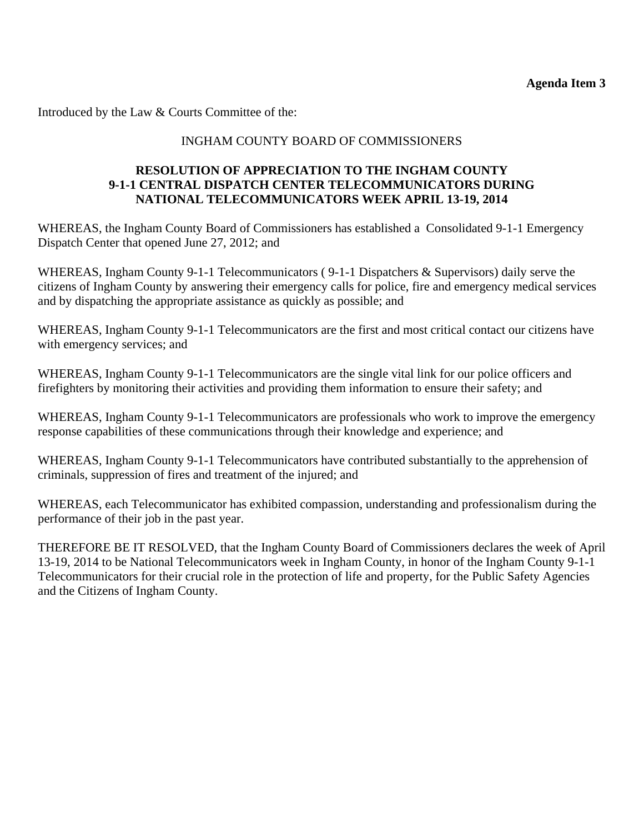Introduced by the Law & Courts Committee of the:

# INGHAM COUNTY BOARD OF COMMISSIONERS

## **RESOLUTION OF APPRECIATION TO THE INGHAM COUNTY 9-1-1 CENTRAL DISPATCH CENTER TELECOMMUNICATORS DURING NATIONAL TELECOMMUNICATORS WEEK APRIL 13-19, 2014**

WHEREAS, the Ingham County Board of Commissioners has established a Consolidated 9-1-1 Emergency Dispatch Center that opened June 27, 2012; and

WHEREAS, Ingham County 9-1-1 Telecommunicators ( 9-1-1 Dispatchers & Supervisors) daily serve the citizens of Ingham County by answering their emergency calls for police, fire and emergency medical services and by dispatching the appropriate assistance as quickly as possible; and

WHEREAS, Ingham County 9-1-1 Telecommunicators are the first and most critical contact our citizens have with emergency services; and

WHEREAS, Ingham County 9-1-1 Telecommunicators are the single vital link for our police officers and firefighters by monitoring their activities and providing them information to ensure their safety; and

WHEREAS, Ingham County 9-1-1 Telecommunicators are professionals who work to improve the emergency response capabilities of these communications through their knowledge and experience; and

WHEREAS, Ingham County 9-1-1 Telecommunicators have contributed substantially to the apprehension of criminals, suppression of fires and treatment of the injured; and

WHEREAS, each Telecommunicator has exhibited compassion, understanding and professionalism during the performance of their job in the past year.

THEREFORE BE IT RESOLVED, that the Ingham County Board of Commissioners declares the week of April 13-19, 2014 to be National Telecommunicators week in Ingham County, in honor of the Ingham County 9-1-1 Telecommunicators for their crucial role in the protection of life and property, for the Public Safety Agencies and the Citizens of Ingham County.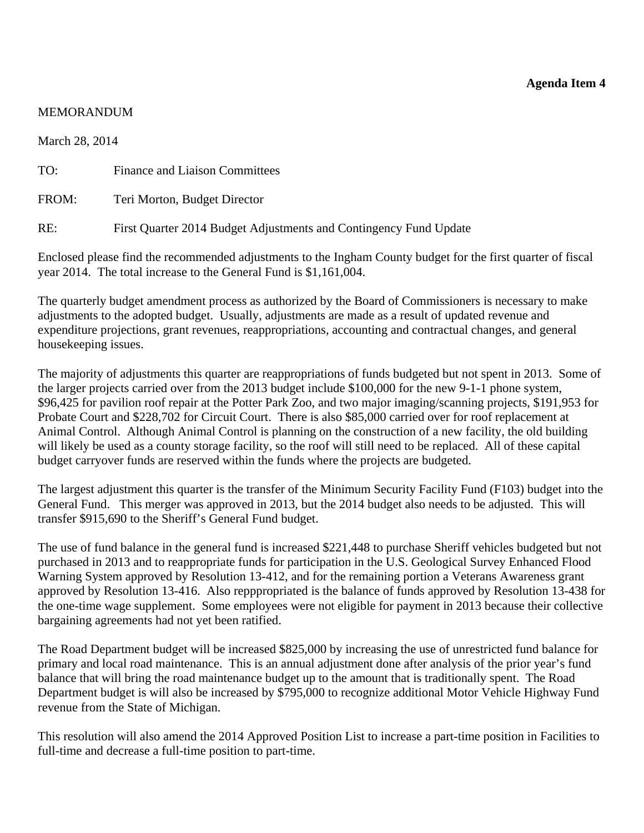#### <span id="page-10-0"></span>MEMORANDUM

March 28, 2014

TO: Finance and Liaison Committees

FROM: Teri Morton, Budget Director

RE: First Quarter 2014 Budget Adjustments and Contingency Fund Update

Enclosed please find the recommended adjustments to the Ingham County budget for the first quarter of fiscal year 2014. The total increase to the General Fund is \$1,161,004.

The quarterly budget amendment process as authorized by the Board of Commissioners is necessary to make adjustments to the adopted budget. Usually, adjustments are made as a result of updated revenue and expenditure projections, grant revenues, reappropriations, accounting and contractual changes, and general housekeeping issues.

The majority of adjustments this quarter are reappropriations of funds budgeted but not spent in 2013. Some of the larger projects carried over from the 2013 budget include \$100,000 for the new 9-1-1 phone system, \$96,425 for pavilion roof repair at the Potter Park Zoo, and two major imaging/scanning projects, \$191,953 for Probate Court and \$228,702 for Circuit Court. There is also \$85,000 carried over for roof replacement at Animal Control. Although Animal Control is planning on the construction of a new facility, the old building will likely be used as a county storage facility, so the roof will still need to be replaced. All of these capital budget carryover funds are reserved within the funds where the projects are budgeted.

The largest adjustment this quarter is the transfer of the Minimum Security Facility Fund (F103) budget into the General Fund. This merger was approved in 2013, but the 2014 budget also needs to be adjusted. This will transfer \$915,690 to the Sheriff's General Fund budget.

The use of fund balance in the general fund is increased \$221,448 to purchase Sheriff vehicles budgeted but not purchased in 2013 and to reappropriate funds for participation in the U.S. Geological Survey Enhanced Flood Warning System approved by Resolution 13-412, and for the remaining portion a Veterans Awareness grant approved by Resolution 13-416. Also repppropriated is the balance of funds approved by Resolution 13-438 for the one-time wage supplement. Some employees were not eligible for payment in 2013 because their collective bargaining agreements had not yet been ratified.

The Road Department budget will be increased \$825,000 by increasing the use of unrestricted fund balance for primary and local road maintenance. This is an annual adjustment done after analysis of the prior year's fund balance that will bring the road maintenance budget up to the amount that is traditionally spent. The Road Department budget is will also be increased by \$795,000 to recognize additional Motor Vehicle Highway Fund revenue from the State of Michigan.

This resolution will also amend the 2014 Approved Position List to increase a part-time position in Facilities to full-time and decrease a full-time position to part-time.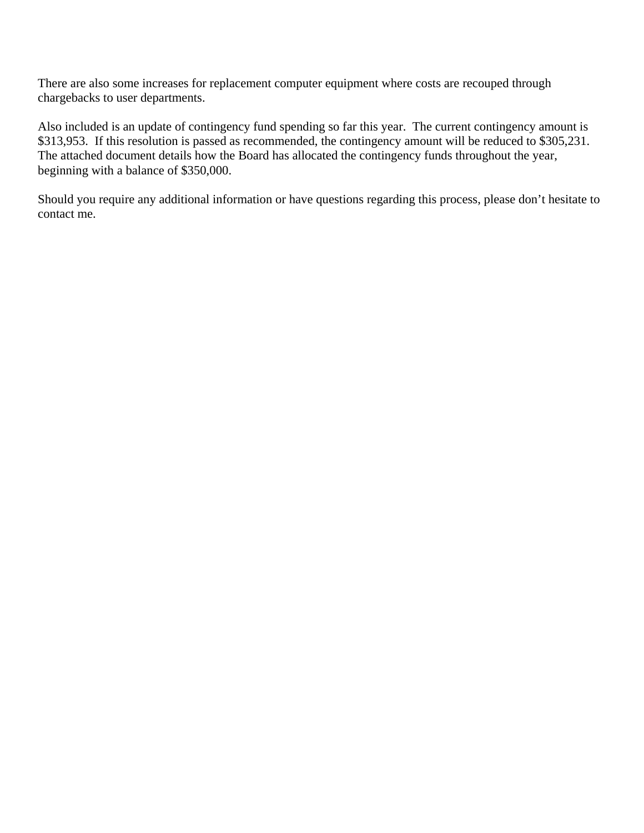There are also some increases for replacement computer equipment where costs are recouped through chargebacks to user departments.

Also included is an update of contingency fund spending so far this year. The current contingency amount is \$313,953. If this resolution is passed as recommended, the contingency amount will be reduced to \$305,231. The attached document details how the Board has allocated the contingency funds throughout the year, beginning with a balance of \$350,000.

Should you require any additional information or have questions regarding this process, please don't hesitate to contact me.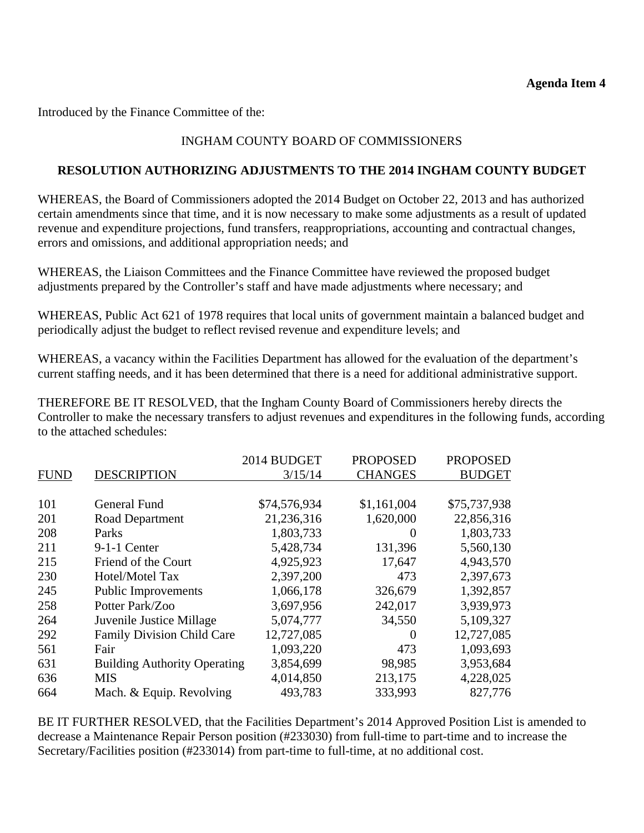Introduced by the Finance Committee of the:

# INGHAM COUNTY BOARD OF COMMISSIONERS

## **RESOLUTION AUTHORIZING ADJUSTMENTS TO THE 2014 INGHAM COUNTY BUDGET**

WHEREAS, the Board of Commissioners adopted the 2014 Budget on October 22, 2013 and has authorized certain amendments since that time, and it is now necessary to make some adjustments as a result of updated revenue and expenditure projections, fund transfers, reappropriations, accounting and contractual changes, errors and omissions, and additional appropriation needs; and

WHEREAS, the Liaison Committees and the Finance Committee have reviewed the proposed budget adjustments prepared by the Controller's staff and have made adjustments where necessary; and

WHEREAS, Public Act 621 of 1978 requires that local units of government maintain a balanced budget and periodically adjust the budget to reflect revised revenue and expenditure levels; and

WHEREAS, a vacancy within the Facilities Department has allowed for the evaluation of the department's current staffing needs, and it has been determined that there is a need for additional administrative support.

THEREFORE BE IT RESOLVED, that the Ingham County Board of Commissioners hereby directs the Controller to make the necessary transfers to adjust revenues and expenditures in the following funds, according to the attached schedules:

|             |                                     | 2014 BUDGET  | <b>PROPOSED</b> | <b>PROPOSED</b> |
|-------------|-------------------------------------|--------------|-----------------|-----------------|
| <b>FUND</b> | <b>DESCRIPTION</b>                  | 3/15/14      | <b>CHANGES</b>  | <b>BUDGET</b>   |
|             |                                     |              |                 |                 |
| 101         | General Fund                        | \$74,576,934 | \$1,161,004     | \$75,737,938    |
| 201         | Road Department                     | 21,236,316   | 1,620,000       | 22,856,316      |
| 208         | Parks                               | 1,803,733    | $\Omega$        | 1,803,733       |
| 211         | $9-1-1$ Center                      | 5,428,734    | 131,396         | 5,560,130       |
| 215         | Friend of the Court                 | 4,925,923    | 17,647          | 4,943,570       |
| 230         | Hotel/Motel Tax                     | 2,397,200    | 473             | 2,397,673       |
| 245         | <b>Public Improvements</b>          | 1,066,178    | 326,679         | 1,392,857       |
| 258         | Potter Park/Zoo                     | 3,697,956    | 242,017         | 3,939,973       |
| 264         | Juvenile Justice Millage            | 5,074,777    | 34,550          | 5,109,327       |
| 292         | <b>Family Division Child Care</b>   | 12,727,085   | $\Omega$        | 12,727,085      |
| 561         | Fair                                | 1,093,220    | 473             | 1,093,693       |
| 631         | <b>Building Authority Operating</b> | 3,854,699    | 98,985          | 3,953,684       |
| 636         | <b>MIS</b>                          | 4,014,850    | 213,175         | 4,228,025       |
| 664         | Mach. & Equip. Revolving            | 493,783      | 333,993         | 827,776         |

BE IT FURTHER RESOLVED, that the Facilities Department's 2014 Approved Position List is amended to decrease a Maintenance Repair Person position (#233030) from full-time to part-time and to increase the Secretary/Facilities position (#233014) from part-time to full-time, at no additional cost.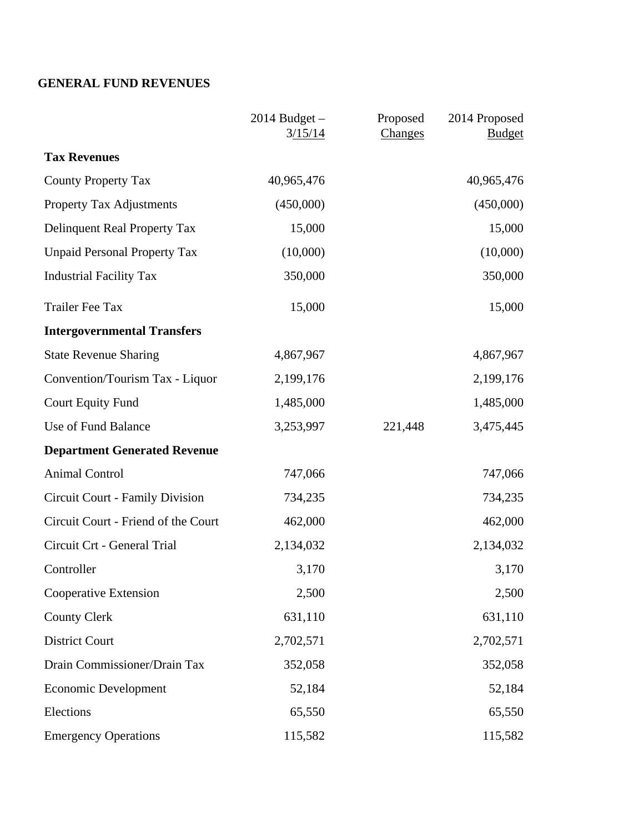# **GENERAL FUND REVENUES**

|                                     | $2014$ Budget $-$<br>3/15/14 | Proposed<br>Changes | 2014 Proposed<br><b>Budget</b> |
|-------------------------------------|------------------------------|---------------------|--------------------------------|
| <b>Tax Revenues</b>                 |                              |                     |                                |
| <b>County Property Tax</b>          | 40,965,476                   |                     | 40,965,476                     |
| <b>Property Tax Adjustments</b>     | (450,000)                    |                     | (450,000)                      |
| Delinquent Real Property Tax        | 15,000                       |                     | 15,000                         |
| <b>Unpaid Personal Property Tax</b> | (10,000)                     |                     | (10,000)                       |
| <b>Industrial Facility Tax</b>      | 350,000                      |                     | 350,000                        |
| <b>Trailer Fee Tax</b>              | 15,000                       |                     | 15,000                         |
| <b>Intergovernmental Transfers</b>  |                              |                     |                                |
| <b>State Revenue Sharing</b>        | 4,867,967                    |                     | 4,867,967                      |
| Convention/Tourism Tax - Liquor     | 2,199,176                    |                     | 2,199,176                      |
| <b>Court Equity Fund</b>            | 1,485,000                    |                     | 1,485,000                      |
| Use of Fund Balance                 | 3,253,997                    | 221,448             | 3,475,445                      |
| <b>Department Generated Revenue</b> |                              |                     |                                |
| <b>Animal Control</b>               | 747,066                      |                     | 747,066                        |
| Circuit Court - Family Division     | 734,235                      |                     | 734,235                        |
| Circuit Court - Friend of the Court | 462,000                      |                     | 462,000                        |
| Circuit Crt - General Trial         | 2,134,032                    |                     | 2,134,032                      |
| Controller                          | 3,170                        |                     | 3,170                          |
| Cooperative Extension               | 2,500                        |                     | 2,500                          |
| <b>County Clerk</b>                 | 631,110                      |                     | 631,110                        |
| <b>District Court</b>               | 2,702,571                    |                     | 2,702,571                      |
| Drain Commissioner/Drain Tax        | 352,058                      |                     | 352,058                        |
| <b>Economic Development</b>         | 52,184                       |                     | 52,184                         |
| Elections                           | 65,550                       |                     | 65,550                         |
| <b>Emergency Operations</b>         | 115,582                      |                     | 115,582                        |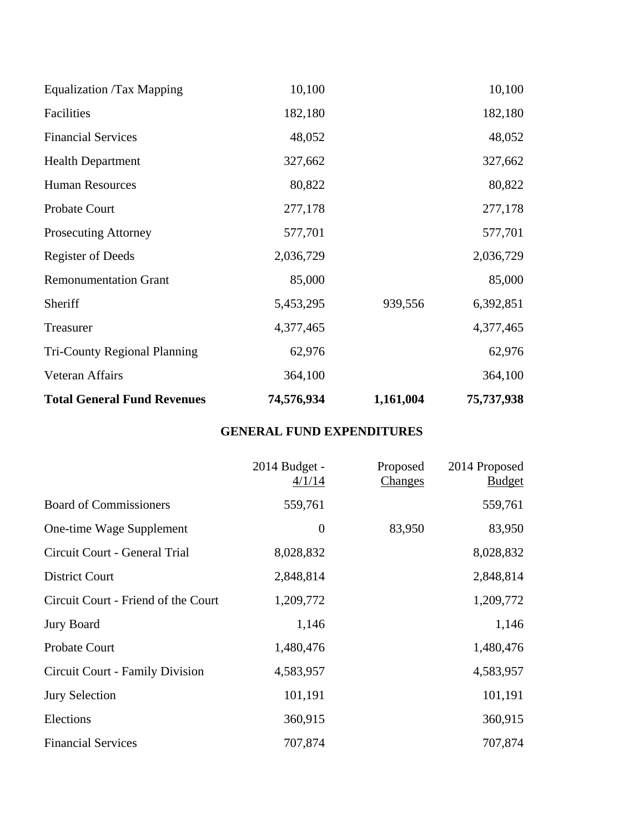| <b>Total General Fund Revenues</b>  | 74,576,934 | 1,161,004 | 75,737,938 |
|-------------------------------------|------------|-----------|------------|
| Veteran Affairs                     | 364,100    |           | 364,100    |
| <b>Tri-County Regional Planning</b> | 62,976     |           | 62,976     |
| Treasurer                           | 4,377,465  |           | 4,377,465  |
| Sheriff                             | 5,453,295  | 939,556   | 6,392,851  |
| <b>Remonumentation Grant</b>        | 85,000     |           | 85,000     |
| <b>Register of Deeds</b>            | 2,036,729  |           | 2,036,729  |
| <b>Prosecuting Attorney</b>         | 577,701    |           | 577,701    |
| Probate Court                       | 277,178    |           | 277,178    |
| <b>Human Resources</b>              | 80,822     |           | 80,822     |
| <b>Health Department</b>            | 327,662    |           | 327,662    |
| <b>Financial Services</b>           | 48,052     |           | 48,052     |
| Facilities                          | 182,180    |           | 182,180    |
| Equalization /Tax Mapping           | 10,100     |           | 10,100     |

# **GENERAL FUND EXPENDITURES**

|                                     | 2014 Budget -<br>4/1/14 | Proposed<br><b>Changes</b> | 2014 Proposed<br><b>Budget</b> |
|-------------------------------------|-------------------------|----------------------------|--------------------------------|
| <b>Board of Commissioners</b>       | 559,761                 |                            | 559,761                        |
| One-time Wage Supplement            | $\boldsymbol{0}$        | 83,950                     | 83,950                         |
| Circuit Court - General Trial       | 8,028,832               |                            | 8,028,832                      |
| <b>District Court</b>               | 2,848,814               |                            | 2,848,814                      |
| Circuit Court - Friend of the Court | 1,209,772               |                            | 1,209,772                      |
| <b>Jury Board</b>                   | 1,146                   |                            | 1,146                          |
| <b>Probate Court</b>                | 1,480,476               |                            | 1,480,476                      |
| Circuit Court - Family Division     | 4,583,957               |                            | 4,583,957                      |
| <b>Jury Selection</b>               | 101,191                 |                            | 101,191                        |
| Elections                           | 360,915                 |                            | 360,915                        |
| <b>Financial Services</b>           | 707,874                 |                            | 707,874                        |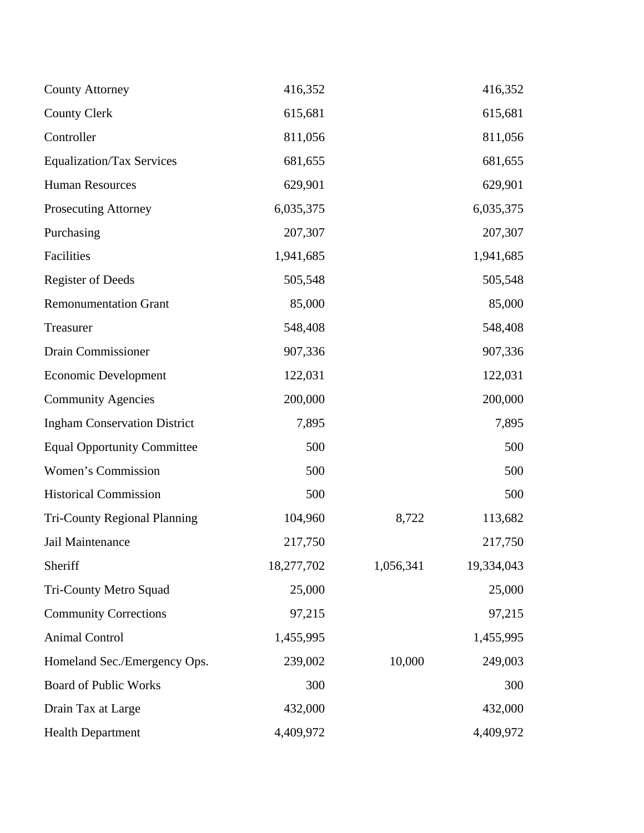| <b>County Attorney</b>              | 416,352    |           | 416,352    |
|-------------------------------------|------------|-----------|------------|
| <b>County Clerk</b>                 | 615,681    |           | 615,681    |
| Controller                          | 811,056    |           | 811,056    |
| <b>Equalization/Tax Services</b>    | 681,655    |           | 681,655    |
| <b>Human Resources</b>              | 629,901    |           | 629,901    |
| <b>Prosecuting Attorney</b>         | 6,035,375  |           | 6,035,375  |
| Purchasing                          | 207,307    |           | 207,307    |
| Facilities                          | 1,941,685  |           | 1,941,685  |
| <b>Register of Deeds</b>            | 505,548    |           | 505,548    |
| <b>Remonumentation Grant</b>        | 85,000     |           | 85,000     |
| Treasurer                           | 548,408    |           | 548,408    |
| Drain Commissioner                  | 907,336    |           | 907,336    |
| <b>Economic Development</b>         | 122,031    |           | 122,031    |
| <b>Community Agencies</b>           | 200,000    |           | 200,000    |
| <b>Ingham Conservation District</b> | 7,895      |           | 7,895      |
| <b>Equal Opportunity Committee</b>  | 500        |           | 500        |
| Women's Commission                  | 500        |           | 500        |
| <b>Historical Commission</b>        | 500        |           | 500        |
| <b>Tri-County Regional Planning</b> | 104,960    | 8,722     | 113,682    |
| Jail Maintenance                    | 217,750    |           | 217,750    |
| Sheriff                             | 18,277,702 | 1,056,341 | 19,334,043 |
| Tri-County Metro Squad              | 25,000     |           | 25,000     |
| <b>Community Corrections</b>        | 97,215     |           | 97,215     |
| <b>Animal Control</b>               | 1,455,995  |           | 1,455,995  |
| Homeland Sec./Emergency Ops.        | 239,002    | 10,000    | 249,003    |
| <b>Board of Public Works</b>        | 300        |           | 300        |
| Drain Tax at Large                  | 432,000    |           | 432,000    |
| <b>Health Department</b>            | 4,409,972  |           | 4,409,972  |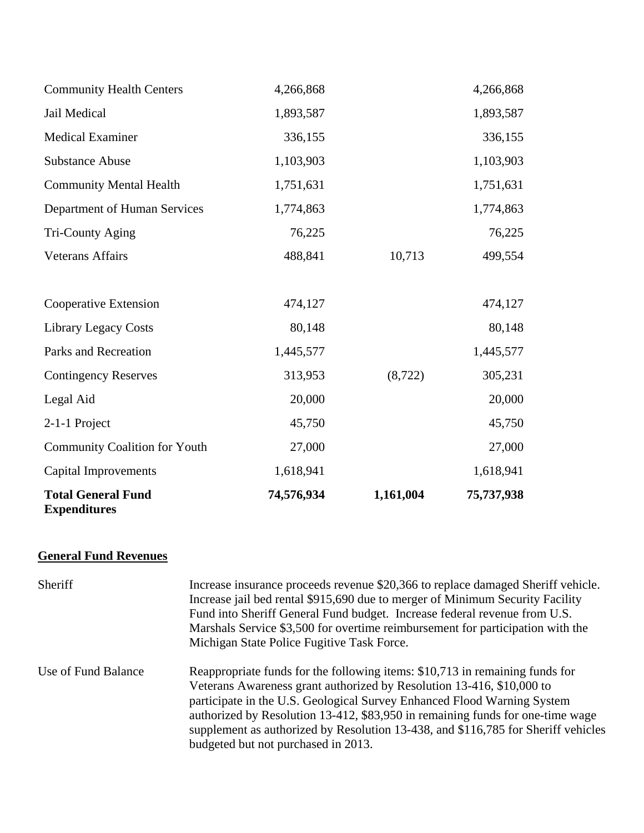| <b>Total General Fund</b><br><b>Expenditures</b> | 74,576,934 | 1,161,004 | 75,737,938 |
|--------------------------------------------------|------------|-----------|------------|
| <b>Capital Improvements</b>                      | 1,618,941  |           | 1,618,941  |
| <b>Community Coalition for Youth</b>             | 27,000     |           | 27,000     |
| 2-1-1 Project                                    | 45,750     |           | 45,750     |
| Legal Aid                                        | 20,000     |           | 20,000     |
| <b>Contingency Reserves</b>                      | 313,953    | (8, 722)  | 305,231    |
| Parks and Recreation                             | 1,445,577  |           | 1,445,577  |
| <b>Library Legacy Costs</b>                      | 80,148     |           | 80,148     |
| Cooperative Extension                            | 474,127    |           | 474,127    |
| <b>Veterans Affairs</b>                          | 488,841    | 10,713    | 499,554    |
| Tri-County Aging                                 | 76,225     |           | 76,225     |
| Department of Human Services                     | 1,774,863  |           | 1,774,863  |
| <b>Community Mental Health</b>                   | 1,751,631  |           | 1,751,631  |
| <b>Substance Abuse</b>                           | 1,103,903  |           | 1,103,903  |
| <b>Medical Examiner</b>                          | 336,155    |           | 336,155    |
| Jail Medical                                     | 1,893,587  |           | 1,893,587  |
| <b>Community Health Centers</b>                  | 4,266,868  |           | 4,266,868  |

# **General Fund Revenues**

| Sheriff             | Increase insurance proceeds revenue \$20,366 to replace damaged Sheriff vehicle.<br>Increase jail bed rental \$915,690 due to merger of Minimum Security Facility<br>Fund into Sheriff General Fund budget. Increase federal revenue from U.S.<br>Marshals Service \$3,500 for overtime reimbursement for participation with the<br>Michigan State Police Fugitive Task Force.                                                                 |
|---------------------|------------------------------------------------------------------------------------------------------------------------------------------------------------------------------------------------------------------------------------------------------------------------------------------------------------------------------------------------------------------------------------------------------------------------------------------------|
| Use of Fund Balance | Reappropriate funds for the following items: \$10,713 in remaining funds for<br>Veterans Awareness grant authorized by Resolution 13-416, \$10,000 to<br>participate in the U.S. Geological Survey Enhanced Flood Warning System<br>authorized by Resolution 13-412, \$83,950 in remaining funds for one-time wage<br>supplement as authorized by Resolution 13-438, and \$116,785 for Sheriff vehicles<br>budgeted but not purchased in 2013. |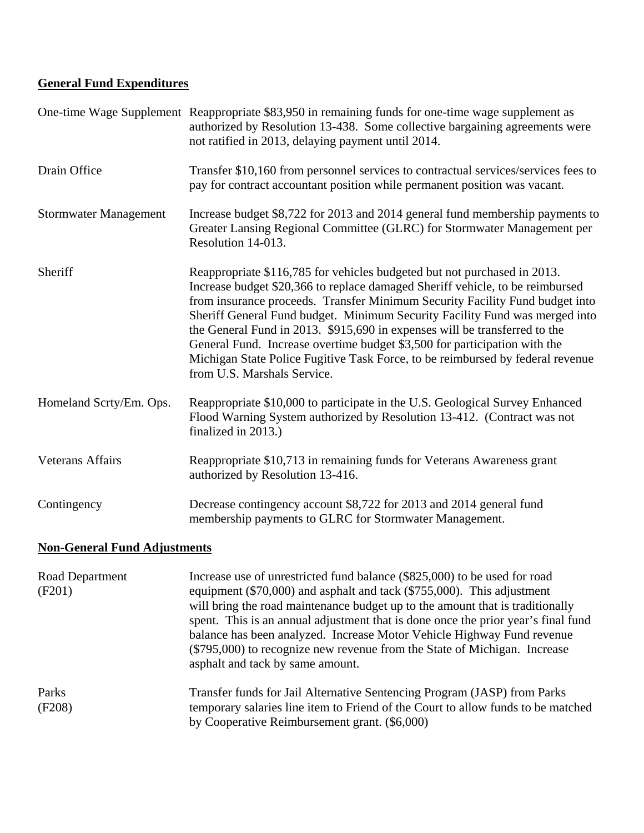# **General Fund Expenditures**

|                                                                                                         | One-time Wage Supplement Reappropriate \$83,950 in remaining funds for one-time wage supplement as<br>authorized by Resolution 13-438. Some collective bargaining agreements were<br>not ratified in 2013, delaying payment until 2014.                                                                                                                                                                                                                                                                                                                                                              |
|---------------------------------------------------------------------------------------------------------|------------------------------------------------------------------------------------------------------------------------------------------------------------------------------------------------------------------------------------------------------------------------------------------------------------------------------------------------------------------------------------------------------------------------------------------------------------------------------------------------------------------------------------------------------------------------------------------------------|
| Drain Office                                                                                            | Transfer \$10,160 from personnel services to contractual services/services fees to<br>pay for contract accountant position while permanent position was vacant.                                                                                                                                                                                                                                                                                                                                                                                                                                      |
| <b>Stormwater Management</b>                                                                            | Increase budget \$8,722 for 2013 and 2014 general fund membership payments to<br>Greater Lansing Regional Committee (GLRC) for Stormwater Management per<br>Resolution 14-013.                                                                                                                                                                                                                                                                                                                                                                                                                       |
| Sheriff                                                                                                 | Reappropriate \$116,785 for vehicles budgeted but not purchased in 2013.<br>Increase budget \$20,366 to replace damaged Sheriff vehicle, to be reimbursed<br>from insurance proceeds. Transfer Minimum Security Facility Fund budget into<br>Sheriff General Fund budget. Minimum Security Facility Fund was merged into<br>the General Fund in 2013. \$915,690 in expenses will be transferred to the<br>General Fund. Increase overtime budget \$3,500 for participation with the<br>Michigan State Police Fugitive Task Force, to be reimbursed by federal revenue<br>from U.S. Marshals Service. |
| Homeland Scrty/Em. Ops.                                                                                 | Reappropriate \$10,000 to participate in the U.S. Geological Survey Enhanced<br>Flood Warning System authorized by Resolution 13-412. (Contract was not<br>finalized in 2013.)                                                                                                                                                                                                                                                                                                                                                                                                                       |
| <b>Veterans Affairs</b>                                                                                 | Reappropriate \$10,713 in remaining funds for Veterans Awareness grant<br>authorized by Resolution 13-416.                                                                                                                                                                                                                                                                                                                                                                                                                                                                                           |
| Contingency                                                                                             | Decrease contingency account \$8,722 for 2013 and 2014 general fund<br>membership payments to GLRC for Stormwater Management.                                                                                                                                                                                                                                                                                                                                                                                                                                                                        |
| $\mathbf{M}$ $\mathbf{C}$ $\mathbf{M}$ $\mathbf{R}$ $\mathbf{M}$ $\mathbf{M}$ $\mathbf{M}$ $\mathbf{M}$ |                                                                                                                                                                                                                                                                                                                                                                                                                                                                                                                                                                                                      |

#### **Non-General Fund Adjustments**

| Road Department<br>(F201) | Increase use of unrestricted fund balance (\$825,000) to be used for road<br>equipment (\$70,000) and asphalt and tack (\$755,000). This adjustment<br>will bring the road maintenance budget up to the amount that is traditionally<br>spent. This is an annual adjustment that is done once the prior year's final fund<br>balance has been analyzed. Increase Motor Vehicle Highway Fund revenue<br>(\$795,000) to recognize new revenue from the State of Michigan. Increase<br>asphalt and tack by same amount. |
|---------------------------|----------------------------------------------------------------------------------------------------------------------------------------------------------------------------------------------------------------------------------------------------------------------------------------------------------------------------------------------------------------------------------------------------------------------------------------------------------------------------------------------------------------------|
| Parks<br>(F208)           | Transfer funds for Jail Alternative Sentencing Program (JASP) from Parks<br>temporary salaries line item to Friend of the Court to allow funds to be matched<br>by Cooperative Reimbursement grant. (\$6,000)                                                                                                                                                                                                                                                                                                        |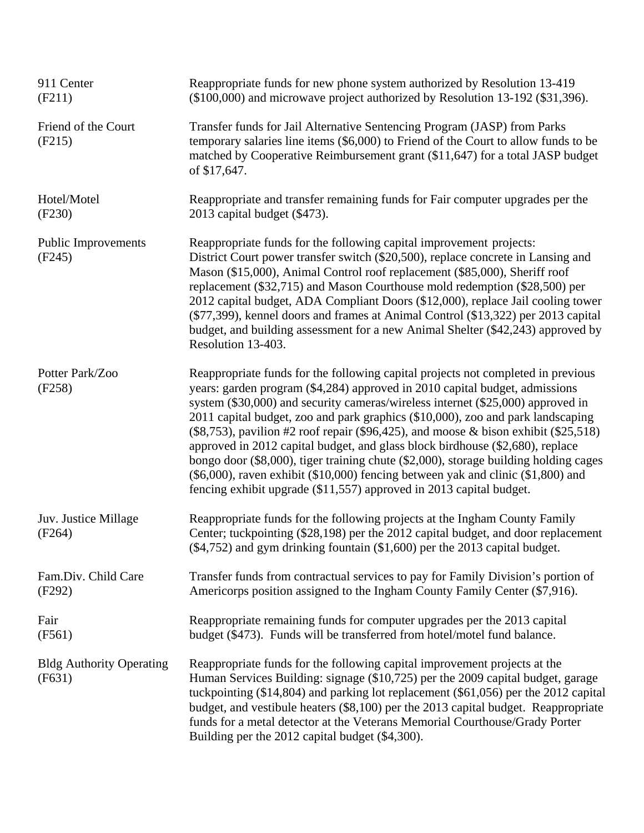| 911 Center<br>(F211)                      | Reappropriate funds for new phone system authorized by Resolution 13-419<br>(\$100,000) and microwave project authorized by Resolution 13-192 (\$31,396).                                                                                                                                                                                                                                                                                                                                                                                                                                                                                                                                                                                                                       |
|-------------------------------------------|---------------------------------------------------------------------------------------------------------------------------------------------------------------------------------------------------------------------------------------------------------------------------------------------------------------------------------------------------------------------------------------------------------------------------------------------------------------------------------------------------------------------------------------------------------------------------------------------------------------------------------------------------------------------------------------------------------------------------------------------------------------------------------|
| Friend of the Court<br>(F215)             | Transfer funds for Jail Alternative Sentencing Program (JASP) from Parks<br>temporary salaries line items (\$6,000) to Friend of the Court to allow funds to be<br>matched by Cooperative Reimbursement grant (\$11,647) for a total JASP budget<br>of \$17,647.                                                                                                                                                                                                                                                                                                                                                                                                                                                                                                                |
| Hotel/Motel<br>(F230)                     | Reappropriate and transfer remaining funds for Fair computer upgrades per the<br>2013 capital budget (\$473).                                                                                                                                                                                                                                                                                                                                                                                                                                                                                                                                                                                                                                                                   |
| <b>Public Improvements</b><br>(F245)      | Reappropriate funds for the following capital improvement projects:<br>District Court power transfer switch (\$20,500), replace concrete in Lansing and<br>Mason (\$15,000), Animal Control roof replacement (\$85,000), Sheriff roof<br>replacement (\$32,715) and Mason Courthouse mold redemption (\$28,500) per<br>2012 capital budget, ADA Compliant Doors (\$12,000), replace Jail cooling tower<br>(\$77,399), kennel doors and frames at Animal Control (\$13,322) per 2013 capital<br>budget, and building assessment for a new Animal Shelter (\$42,243) approved by<br>Resolution 13-403.                                                                                                                                                                            |
| Potter Park/Zoo<br>(F258)                 | Reappropriate funds for the following capital projects not completed in previous<br>years: garden program (\$4,284) approved in 2010 capital budget, admissions<br>system (\$30,000) and security cameras/wireless internet (\$25,000) approved in<br>2011 capital budget, zoo and park graphics (\$10,000), zoo and park landscaping<br>$(\$8,753)$ , pavilion #2 roof repair $(\$96,425)$ , and moose & bison exhibit $(\$25,518)$<br>approved in 2012 capital budget, and glass block birdhouse (\$2,680), replace<br>bongo door (\$8,000), tiger training chute (\$2,000), storage building holding cages<br>$(\$6,000)$ , raven exhibit $(\$10,000)$ fencing between yak and clinic $(\$1,800)$ and<br>fencing exhibit upgrade (\$11,557) approved in 2013 capital budget. |
| Juv. Justice Millage<br>(F264)            | Reappropriate funds for the following projects at the Ingham County Family<br>Center; tuckpointing (\$28,198) per the 2012 capital budget, and door replacement<br>(\$4,752) and gym drinking fountain (\$1,600) per the 2013 capital budget.                                                                                                                                                                                                                                                                                                                                                                                                                                                                                                                                   |
| Fam.Div. Child Care<br>(F292)             | Transfer funds from contractual services to pay for Family Division's portion of<br>Americorps position assigned to the Ingham County Family Center (\$7,916).                                                                                                                                                                                                                                                                                                                                                                                                                                                                                                                                                                                                                  |
| Fair<br>(F561)                            | Reappropriate remaining funds for computer upgrades per the 2013 capital<br>budget (\$473). Funds will be transferred from hotel/motel fund balance.                                                                                                                                                                                                                                                                                                                                                                                                                                                                                                                                                                                                                            |
| <b>Bldg Authority Operating</b><br>(F631) | Reappropriate funds for the following capital improvement projects at the<br>Human Services Building: signage (\$10,725) per the 2009 capital budget, garage<br>tuckpointing $(\$14,804)$ and parking lot replacement $(\$61,056)$ per the 2012 capital<br>budget, and vestibule heaters (\$8,100) per the 2013 capital budget. Reappropriate<br>funds for a metal detector at the Veterans Memorial Courthouse/Grady Porter<br>Building per the 2012 capital budget (\$4,300).                                                                                                                                                                                                                                                                                                 |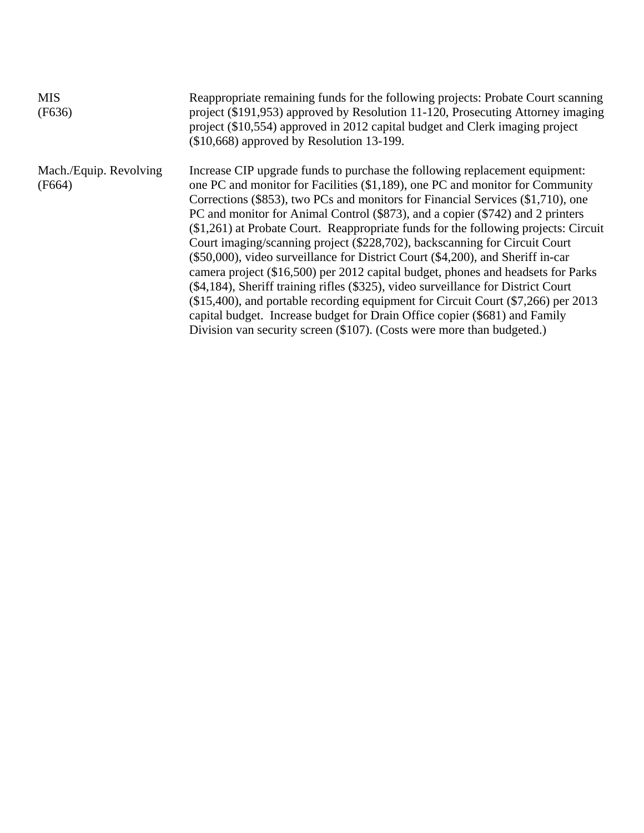| <b>MIS</b><br>(F636)             | Reappropriate remaining funds for the following projects: Probate Court scanning<br>project (\$191,953) approved by Resolution 11-120, Prosecuting Attorney imaging<br>project (\$10,554) approved in 2012 capital budget and Clerk imaging project<br>$(\$10,668)$ approved by Resolution 13-199.                                                                                                                                                                                                                                                                                                                                                                                                                                                                                                                                                                                                                                                                                                              |
|----------------------------------|-----------------------------------------------------------------------------------------------------------------------------------------------------------------------------------------------------------------------------------------------------------------------------------------------------------------------------------------------------------------------------------------------------------------------------------------------------------------------------------------------------------------------------------------------------------------------------------------------------------------------------------------------------------------------------------------------------------------------------------------------------------------------------------------------------------------------------------------------------------------------------------------------------------------------------------------------------------------------------------------------------------------|
| Mach./Equip. Revolving<br>(F664) | Increase CIP upgrade funds to purchase the following replacement equipment:<br>one PC and monitor for Facilities (\$1,189), one PC and monitor for Community<br>Corrections (\$853), two PCs and monitors for Financial Services (\$1,710), one<br>PC and monitor for Animal Control (\$873), and a copier (\$742) and 2 printers<br>(\$1,261) at Probate Court. Reappropriate funds for the following projects: Circuit<br>Court imaging/scanning project (\$228,702), backscanning for Circuit Court<br>(\$50,000), video surveillance for District Court (\$4,200), and Sheriff in-car<br>camera project (\$16,500) per 2012 capital budget, phones and headsets for Parks<br>(\$4,184), Sheriff training rifles (\$325), video surveillance for District Court<br>(\$15,400), and portable recording equipment for Circuit Court (\$7,266) per 2013<br>capital budget. Increase budget for Drain Office copier (\$681) and Family<br>Division van security screen (\$107). (Costs were more than budgeted.) |